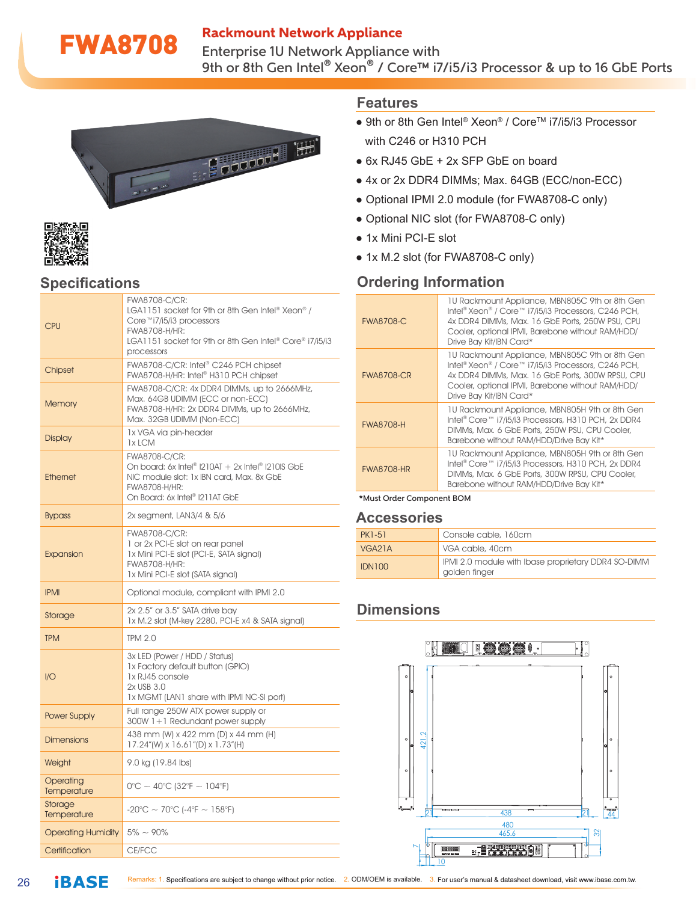### Rackmount Network Appliance

**FWA8708** Enterprise 1U Network Appliance with 9th or 8th Gen Intel® Xeon® / Core™ i7/i5/i3 Processor & up to 16 GbE Ports





## **Specifications**

| <b>CPU</b>                | FWA8708-C/CR:<br>LGA1151 socket for 9th or 8th Gen Intel® Xeon® /<br>Core™i7/i5/i3 processors<br>FWA8708-H/HR:<br>LGA1151 socket for 9th or 8th Gen Intel® Core® i7/i5/i3<br>processors |  |
|---------------------------|-----------------------------------------------------------------------------------------------------------------------------------------------------------------------------------------|--|
| Chipset                   | FWA8708-C/CR: Intel® C246 PCH chipset<br>FWA8708-H/HR: Intel® H310 PCH chipset                                                                                                          |  |
| <b>Memory</b>             | FWA8708-C/CR: 4x DDR4 DIMMs, up to 2666MHz,<br>Max. 64GB UDIMM (ECC or non-ECC)<br>FWA8708-H/HR: 2x DDR4 DIMMs, up to 2666MHz,<br>Max. 32GB UDIMM (Non-ECC)                             |  |
| <b>Display</b>            | 1x VGA via pin-header<br>1x LCM                                                                                                                                                         |  |
| <b>Ethernet</b>           | FWA8708-C/CR:<br>On board: 6x Intel® $1210AT + 2x$ Intel® $1210IS$ GbE<br>NIC module slot: 1x IBN card, Max. 8x GbE<br>FWA8708-H/HR:<br>On Board: 6x Intel® I211AT GbE                  |  |
| <b>Bypass</b>             | 2x segment, LAN3/4 & 5/6                                                                                                                                                                |  |
| Expansion                 | FWA8708-C/CR:<br>1 or 2x PCI-E slot on rear panel<br>1x Mini PCI-E slot (PCI-E, SATA signal)<br>FWA8708-H/HR:<br>1x Mini PCI-E slot (SATA signal)                                       |  |
| <b>IPMI</b>               | Optional module, compliant with IPMI 2.0                                                                                                                                                |  |
| Storage                   | 2x 2.5" or 3.5" SATA drive bay<br>1x M.2 slot (M-key 2280, PCI-E x4 & SATA signal)                                                                                                      |  |
| <b>TPM</b>                | <b>TPM 2.0</b>                                                                                                                                                                          |  |
| 1/O                       | 3x LED (Power / HDD / Status)<br>1x Factory default button (GPIO)<br>1x RJ45 console<br>2x USB 3.0<br>1x MGMT (LAN1 share with IPMI NC-SI port)                                         |  |
| <b>Power Supply</b>       | Full range 250W ATX power supply or<br>300W 1+1 Redundant power supply                                                                                                                  |  |
| <b>Dimensions</b>         | 438 mm (W) x 422 mm (D) x 44 mm (H)<br>17.24"(W) x 16.61"(D) x 1.73"(H)                                                                                                                 |  |
| Weight                    | 9.0 kg (19.84 lbs)                                                                                                                                                                      |  |
| Operating<br>Temperature  | $0^{\circ}$ C ~ 40°C (32°F ~ 104°F)                                                                                                                                                     |  |
| Storage<br>Temperature    | $-20^{\circ}$ C ~ 70°C (-4°F ~ 158°F)                                                                                                                                                   |  |
| <b>Operating Humidity</b> | $5\% \sim 90\%$                                                                                                                                                                         |  |
| Certification             | CE/FCC                                                                                                                                                                                  |  |

#### **Features**

- 9th or 8th Gen Intel® Xeon® / Core™ i7/i5/i3 Processor with C246 or H310 PCH
- 6x RJ45 GbE + 2x SFP GbE on board
- 4x or 2x DDR4 DIMMs; Max. 64GB (ECC/non-ECC)
- Optional IPMI 2.0 module (for FWA8708-C only)
- Optional NIC slot (for FWA8708-C only)
- 1x Mini PCI-E slot
- 1x M.2 slot (for FWA8708-C only)

## **Ordering Information**

| <b>FWA8708-C</b>                 | 10 Rackmount Appliance, MBN805C 9th or 8th Gen<br>Intel® Xeon® / Core™ i7/i5/i3 Processors, C246 PCH,<br>4x DDR4 DIMMs, Max, 16 GbE Ports, 250W PSU, CPU<br>Cooler, optional IPMI, Barebone without RAM/HDD/<br>Drive Bay Kit/IBN Card*  |  |
|----------------------------------|------------------------------------------------------------------------------------------------------------------------------------------------------------------------------------------------------------------------------------------|--|
| <b>FWA8708-CR</b>                | 10 Rackmount Appliance, MBN805C 9th or 8th Gen<br>Intel® Xeon® / Core™ i7/i5/i3 Processors, C246 PCH,<br>4x DDR4 DIMMs, Max. 16 GbE Ports, 300W RPSU, CPU<br>Cooler, optional IPMI, Barebone without RAM/HDD/<br>Drive Bay Kit/IBN Card* |  |
| <b>FWA8708-H</b>                 | 10 Rackmount Appliance, MBN805H 9th or 8th Gen<br>Intel® Core™ i7/i5/i3 Processors, H310 PCH, 2x DDR4<br>DIMMs, Max, 6 GbE Ports, 250W PSU, CPU Cooler,<br>Barebone without RAM/HDD/Drive Bay Kit*                                       |  |
| <b>FWA8708-HR</b>                | 10 Rackmount Appliance, MBN805H 9th or 8th Gen<br>Intel® Core™ i7/i5/i3 Processors, H310 PCH, 2x DDR4<br>DIMMs, Max, 6 GbE Ports, 300W RPSU, CPU Cooler,<br>Barebone without RAM/HDD/Drive Bay Kit*                                      |  |
| $+111$ $01$ $0$ $0$ $01$ $0$ $0$ |                                                                                                                                                                                                                                          |  |

\*Must Order Component BOM

#### **Accessories**

| PK1-51              | Console cable, 160cm                                                 |
|---------------------|----------------------------------------------------------------------|
| VGA <sub>2</sub> 1A | VGA cable, 40cm                                                      |
| IDN100              | IPMI 2.0 module with Ibase proprietary DDR4 SO-DIMM<br>golden finger |

## **Dimensions**